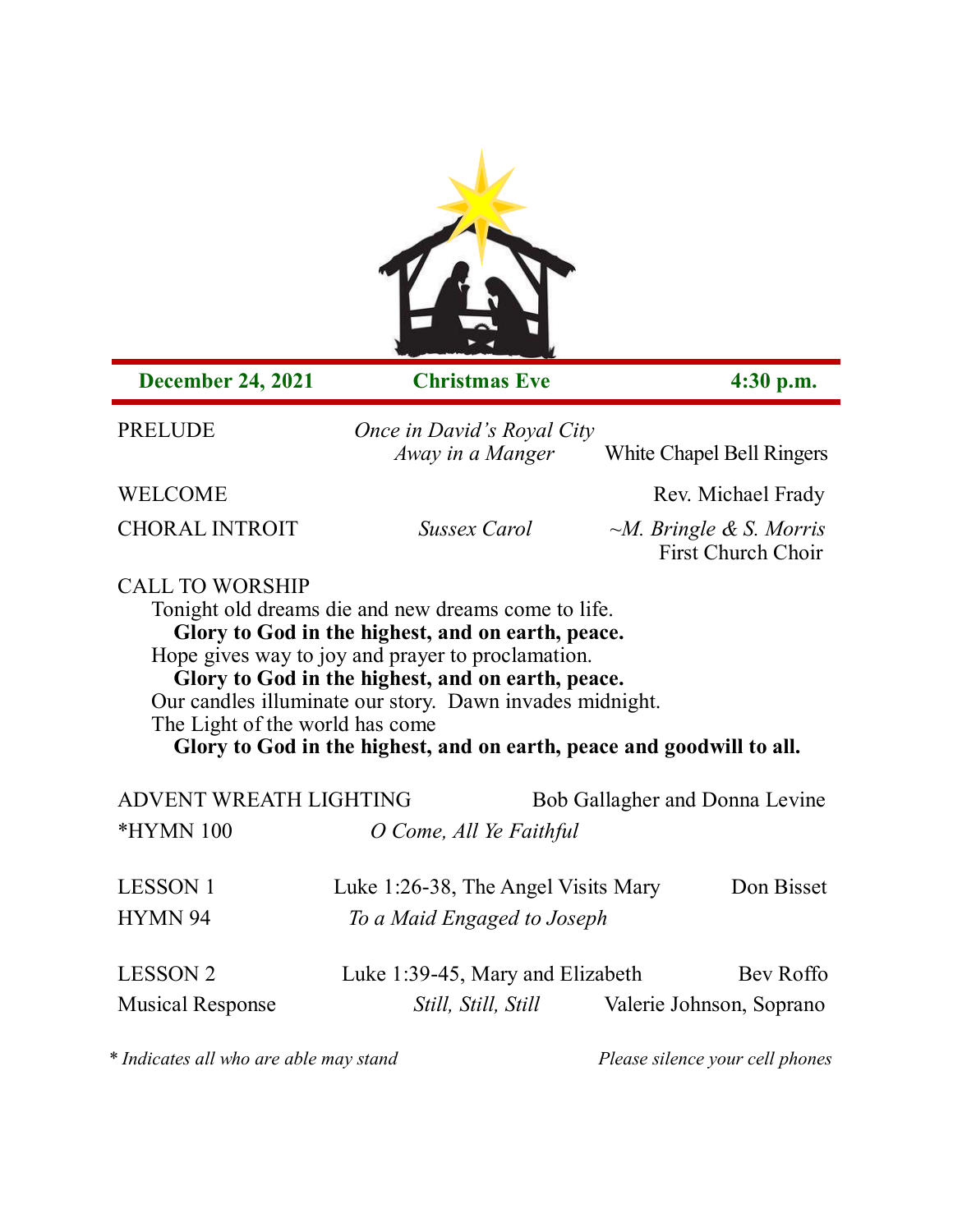

*\* Indicates all who are able may stand Please silence your cell phones*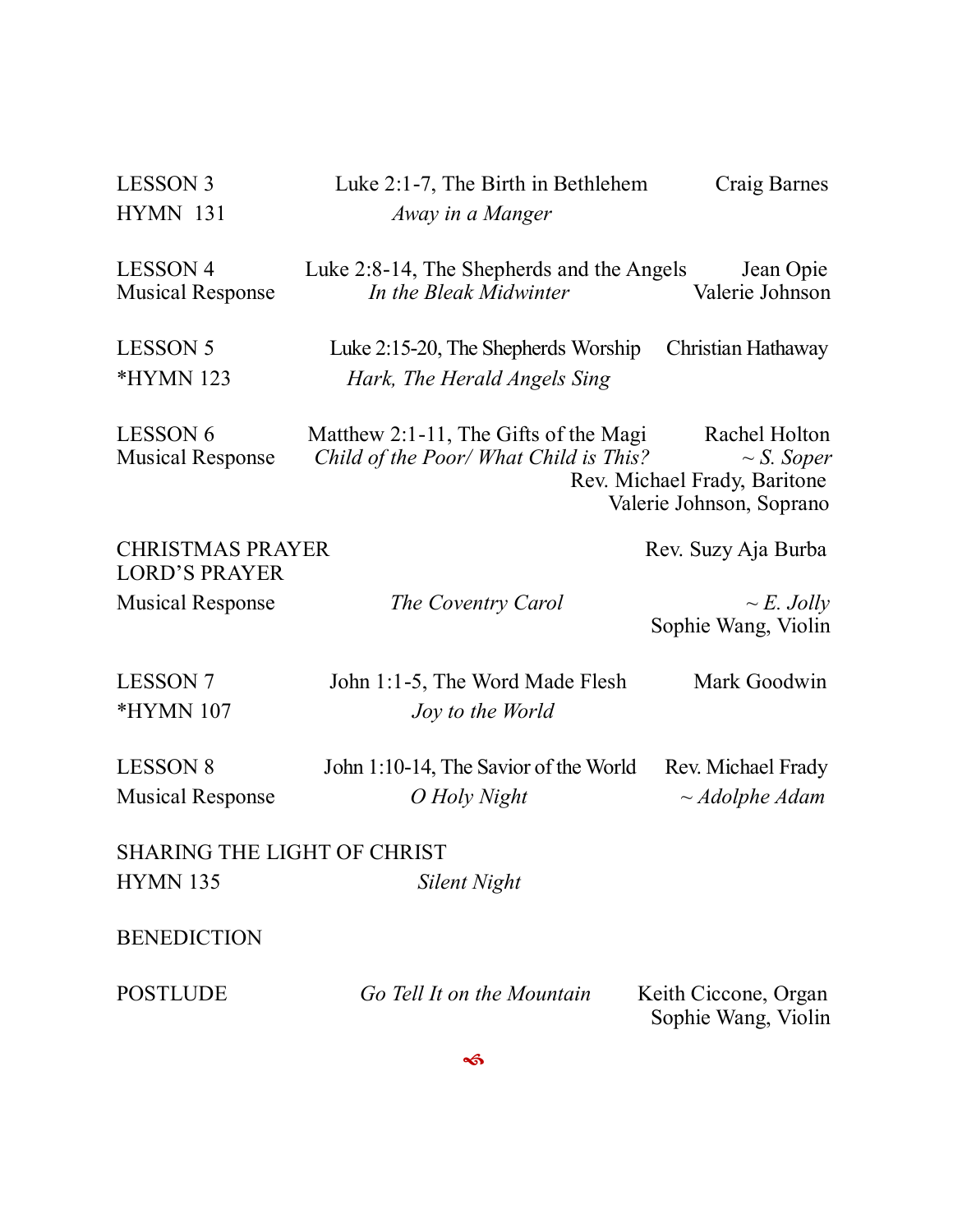| <b>LESSON 3</b>                                 | Luke 2:1-7, The Birth in Bethlehem                                              | Craig Barnes                                                                                 |
|-------------------------------------------------|---------------------------------------------------------------------------------|----------------------------------------------------------------------------------------------|
| <b>HYMN 131</b>                                 | Away in a Manger                                                                |                                                                                              |
| <b>LESSON 4</b><br><b>Musical Response</b>      | Luke 2:8-14, The Shepherds and the Angels<br>In the Bleak Midwinter             | Jean Opie<br>Valerie Johnson                                                                 |
| <b>LESSON 5</b>                                 | Luke 2:15-20, The Shepherds Worship                                             | Christian Hathaway                                                                           |
| *HYMN 123                                       | Hark, The Herald Angels Sing                                                    |                                                                                              |
| <b>LESSON 6</b><br><b>Musical Response</b>      | Matthew 2:1-11, The Gifts of the Magi<br>Child of the Poor/ What Child is This? | Rachel Holton<br>$\sim$ S. Soper<br>Rev. Michael Frady, Baritone<br>Valerie Johnson, Soprano |
| <b>CHRISTMAS PRAYER</b><br><b>LORD'S PRAYER</b> |                                                                                 | Rev. Suzy Aja Burba                                                                          |
| <b>Musical Response</b>                         | The Coventry Carol                                                              | $\sim$ E. Jolly<br>Sophie Wang, Violin                                                       |
| <b>LESSON 7</b><br>*HYMN 107                    | John 1:1-5, The Word Made Flesh<br><i>Joy to the World</i>                      | Mark Goodwin                                                                                 |
| <b>LESSON 8</b>                                 | John 1:10-14, The Savior of the World                                           | Rev. Michael Frady                                                                           |
| <b>Musical Response</b>                         | O Holy Night                                                                    | $\sim$ Adolphe Adam                                                                          |
| <b>SHARING THE LIGHT OF CHRIST</b>              |                                                                                 |                                                                                              |
| <b>HYMN 135</b>                                 | Silent Night                                                                    |                                                                                              |
| <b>BENEDICTION</b>                              |                                                                                 |                                                                                              |
| <b>POSTLUDE</b>                                 | Go Tell It on the Mountain                                                      | Keith Ciccone, Organ<br>Sophie Wang, Violin                                                  |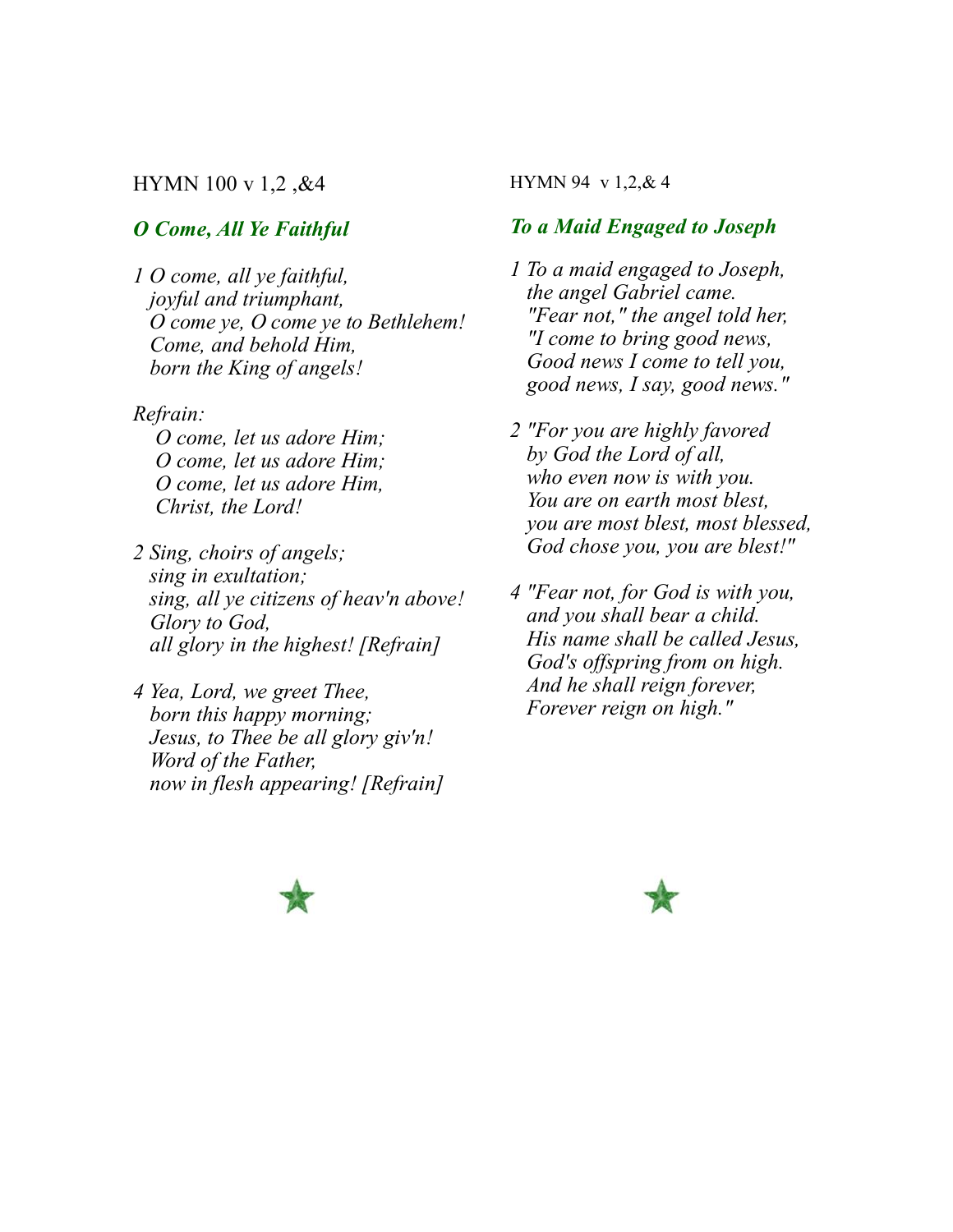# HYMN 100 v 1,2 ,&4

# *O Come, All Ye Faithful*

*1 O come, all ye faithful, joyful and triumphant, O come ye, O come ye to Bethlehem! Come, and behold Him, born the King of angels!*

## *Refrain:*

- *O come, let us adore Him; O come, let us adore Him; O come, let us adore Him, Christ, the Lord!*
- *2 Sing, choirs of angels; sing in exultation; sing, all ye citizens of heav'n above! Glory to God, all glory in the highest! [Refrain]*
- *4 Yea, Lord, we greet Thee, born this happy morning; Jesus, to Thee be all glory giv'n! Word of the Father, now in flesh appearing! [Refrain]*

#### HYMN 94v 1,2,& 4

## *To a Maid Engaged to Joseph*

- *1 To a maid engaged to Joseph, the angel Gabriel came. "Fear not," the angel told her, "I come to bring good news, Good news I come to tell you, good news, I say, good news."*
- *2 "For you are highly favored by God the Lord of all, who even now is with you. You are on earth most blest, you are most blest, most blessed, God chose you, you are blest!"*
- *4 "Fear not, for God is with you, and you shall bear a child. His name shall be called Jesus, God's offspring from on high. And he shall reign forever, Forever reign on high."*



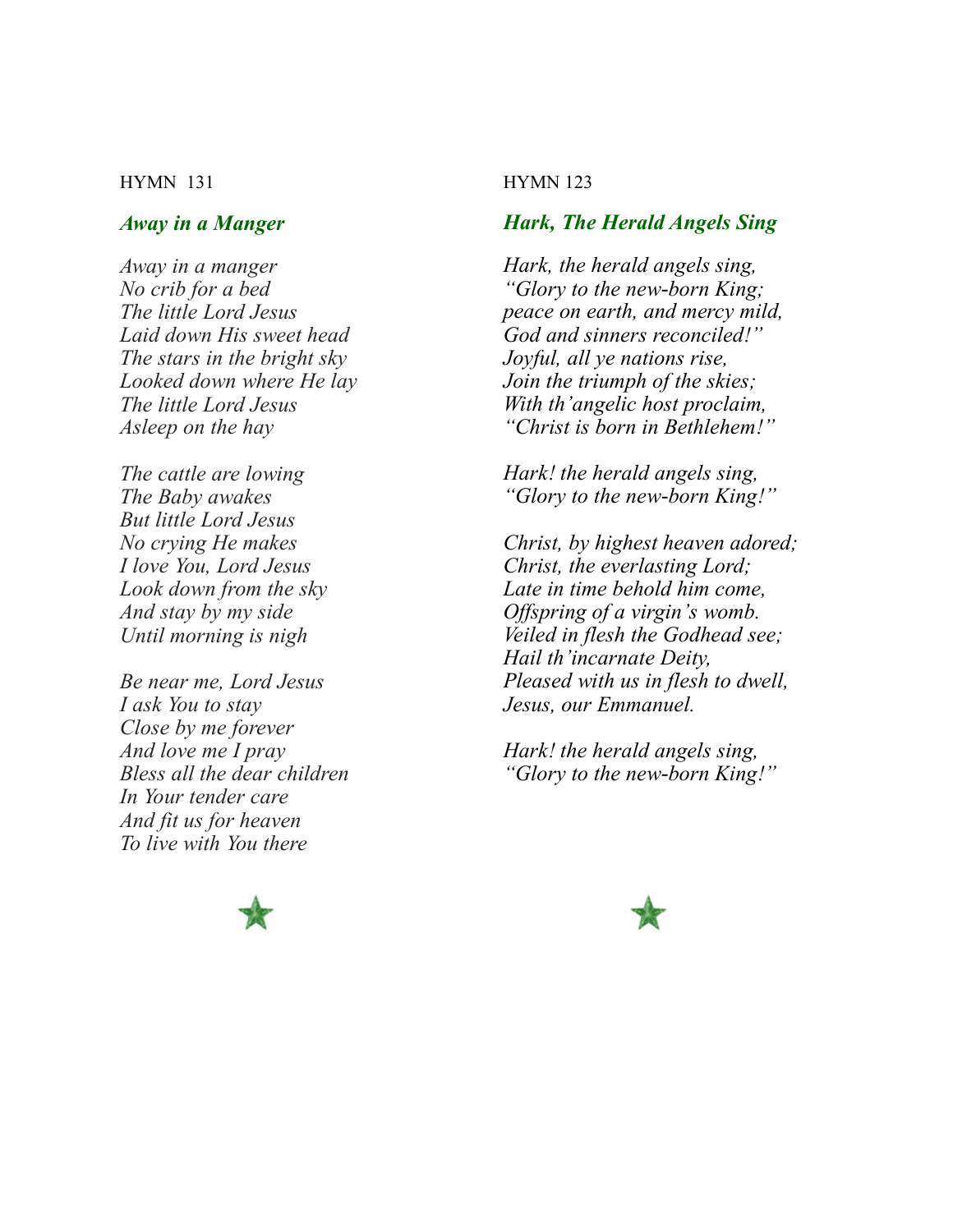#### HYMN 131

## *Away in a Manger*

*Away in a manger No crib for a bed The little Lord Jesus Laid down His sweet head The stars in the bright sky Looked down where He lay The little Lord Jesus Asleep on the hay*

*The cattle are lowing The Baby awakes But little Lord Jesus No crying He makes I love You, Lord Jesus Look down from the sky And stay by my side Until morning is nigh*

*Be near me, Lord Jesus I ask You to stay Close by me forever And love me I pray Bless all the dear children In Your tender care And fit us for heaven To live with You there*

#### HYMN 123

## *Hark, The Herald Angels Sing*

*Hark, the herald angels sing, "Glory to the new-born King; peace on earth, and mercy mild, God and sinners reconciled!" Joyful, all ye nations rise, Join the triumph of the skies; With th'angelic host proclaim, "Christ is born in Bethlehem!"*

*Hark! the herald angels sing, "Glory to the new-born King!"*

*Christ, by highest heaven adored; Christ, the everlasting Lord; Late in time behold him come, Offspring of a virgin's womb. Veiled in flesh the Godhead see; Hail th'incarnate Deity, Pleased with us in flesh to dwell, Jesus, our Emmanuel.*

*Hark! the herald angels sing, "Glory to the new-born King!"*



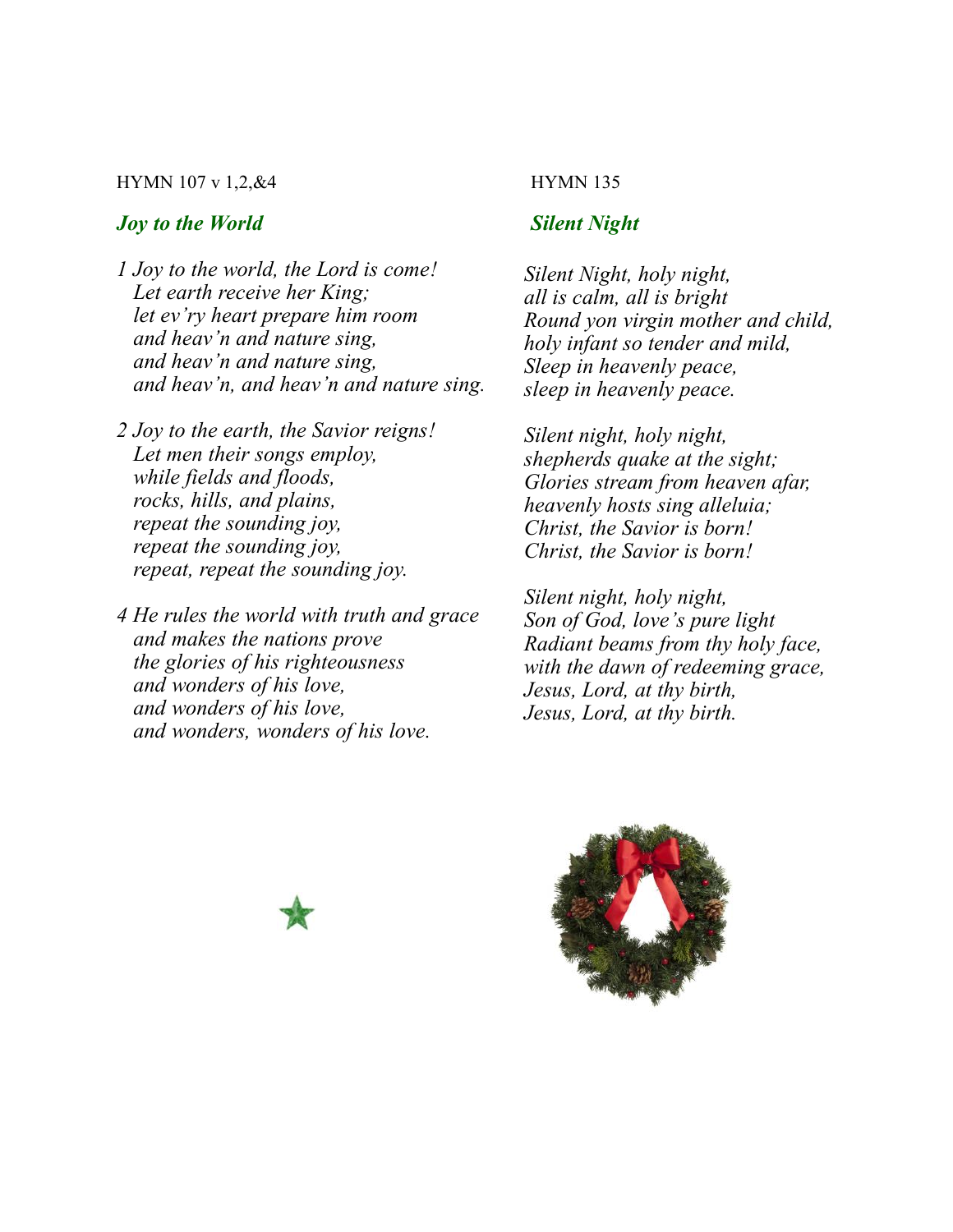#### HYMN 107 v 1,2,&4

## *Joy to the World*

- *1 Joy to the world, the Lord is come! Let earth receive her King; let ev'ry heart prepare him room and heav'n and nature sing, and heav'n and nature sing, and heav'n, and heav'n and nature sing.*
- *2 Joy to the earth, the Savior reigns! Let men their songs employ, while fields and floods, rocks, hills, and plains, repeat the sounding joy, repeat the sounding joy, repeat, repeat the sounding joy.*
- *4 He rules the world with truth and grace and makes the nations prove the glories of his righteousness and wonders of his love, and wonders of his love, and wonders, wonders of his love.*

#### HYMN 135

#### *Silent Night*

*Silent Night, holy night, all is calm, all is bright Round yon virgin mother and child, holy infant so tender and mild, Sleep in heavenly peace, sleep in heavenly peace.*

*Silent night, holy night, shepherds quake at the sight; Glories stream from heaven afar, heavenly hosts sing alleluia; Christ, the Savior is born! Christ, the Savior is born!*

*Silent night, holy night, Son of God, love's pure light Radiant beams from thy holy face, with the dawn of redeeming grace, Jesus, Lord, at thy birth, Jesus, Lord, at thy birth.*



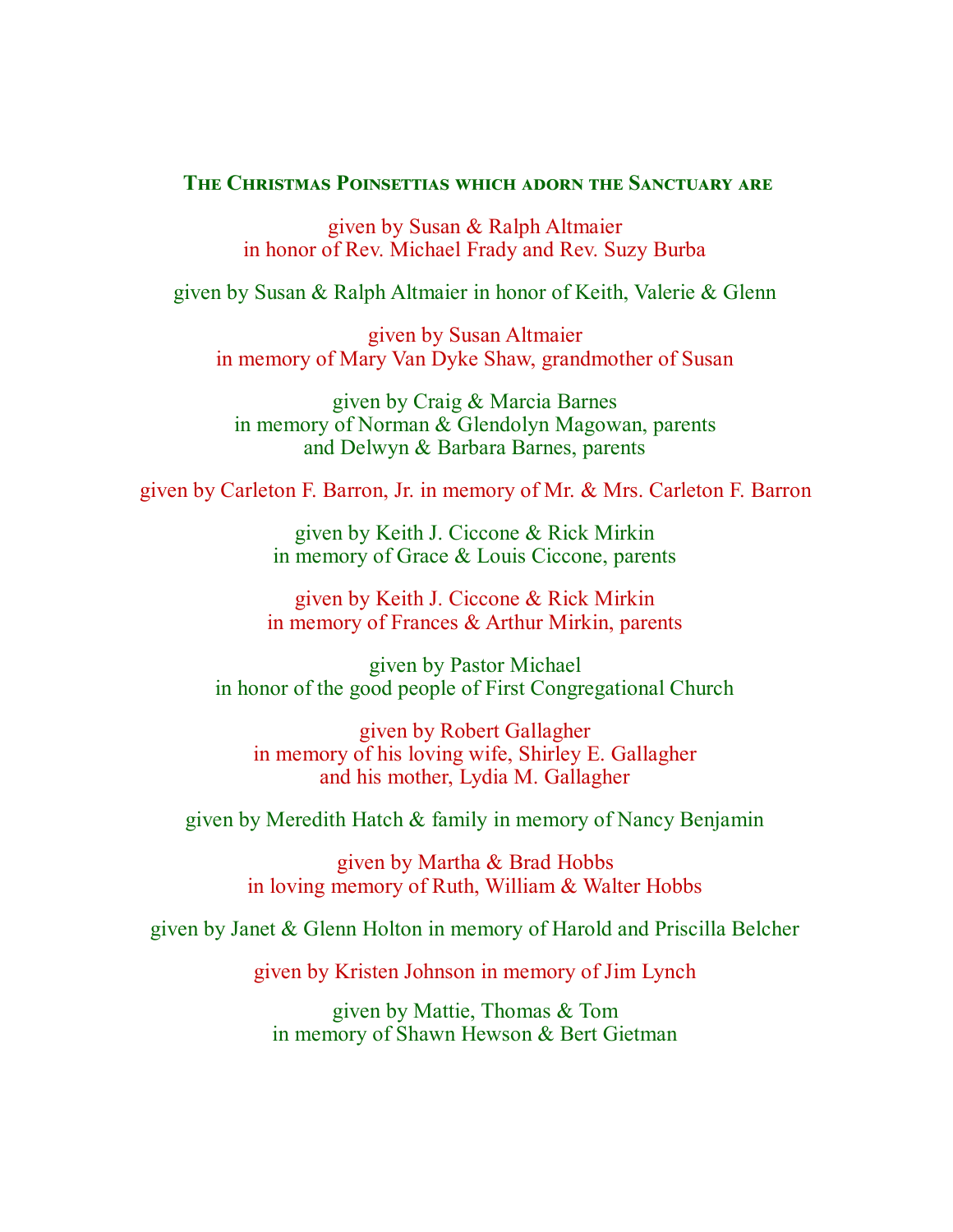# **The Christmas Poinsettias which adorn the Sanctuary are**

given by Susan & Ralph Altmaier in honor of Rev. Michael Frady and Rev. Suzy Burba

given by Susan & Ralph Altmaier in honor of Keith, Valerie & Glenn

given by Susan Altmaier in memory of Mary Van Dyke Shaw, grandmother of Susan

given by Craig & Marcia Barnes in memory of Norman & Glendolyn Magowan, parents and Delwyn & Barbara Barnes, parents

given by Carleton F. Barron, Jr. in memory of Mr. & Mrs. Carleton F. Barron

given by Keith J. Ciccone & Rick Mirkin in memory of Grace & Louis Ciccone, parents

given by Keith J. Ciccone & Rick Mirkin in memory of Frances & Arthur Mirkin, parents

given by Pastor Michael in honor of the good people of First Congregational Church

given by Robert Gallagher in memory of his loving wife, Shirley E. Gallagher and his mother, Lydia M. Gallagher

given by Meredith Hatch & family in memory of Nancy Benjamin

given by Martha & Brad Hobbs in loving memory of Ruth, William & Walter Hobbs

given by Janet & Glenn Holton in memory of Harold and Priscilla Belcher

given by Kristen Johnson in memory of Jim Lynch

given by Mattie, Thomas & Tom in memory of Shawn Hewson & Bert Gietman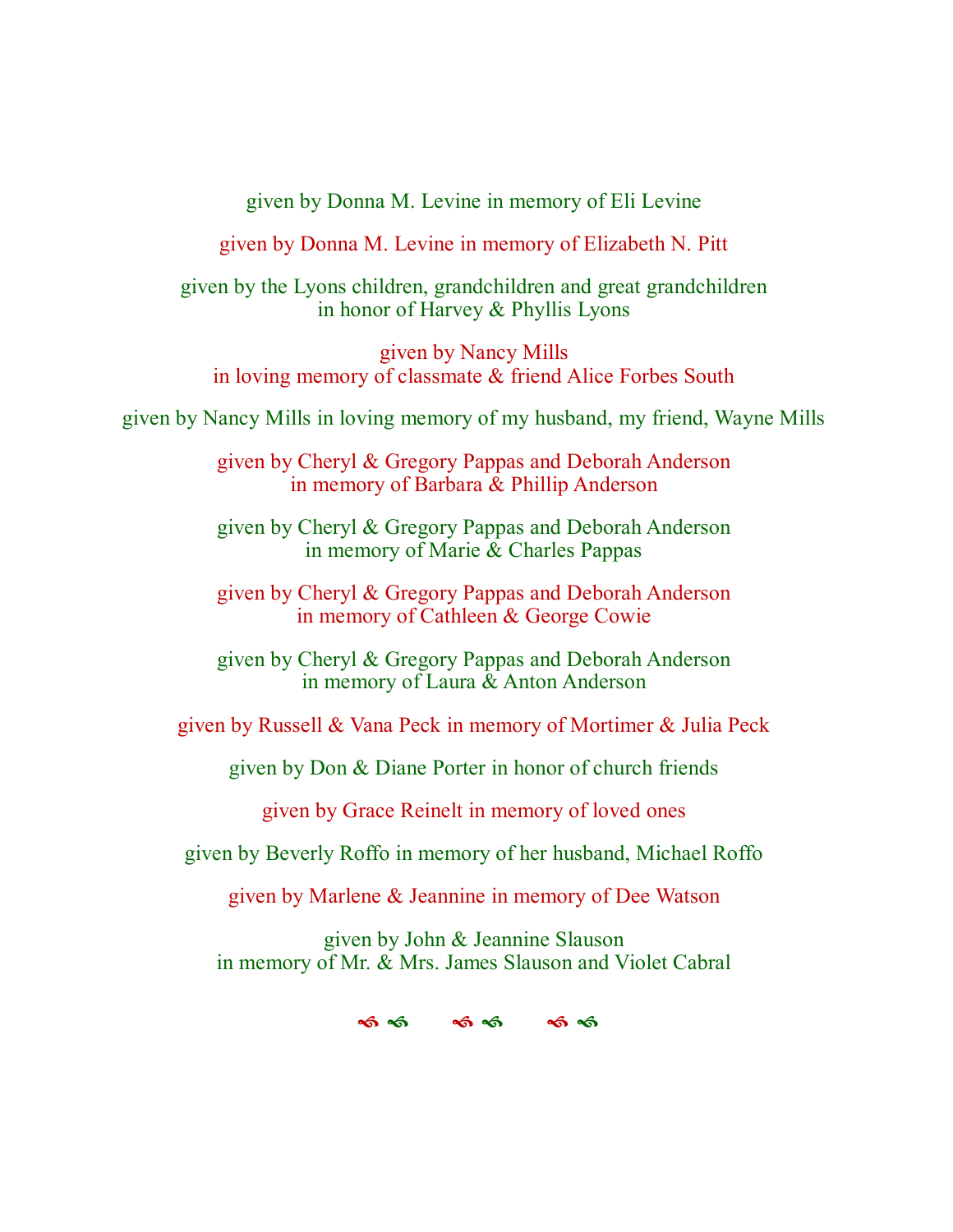given by Donna M. Levine in memory of Eli Levine

given by Donna M. Levine in memory of Elizabeth N. Pitt

given by the Lyons children, grandchildren and great grandchildren in honor of Harvey & Phyllis Lyons

given by Nancy Mills in loving memory of classmate & friend Alice Forbes South

given by Nancy Mills in loving memory of my husband, my friend, Wayne Mills

given by Cheryl & Gregory Pappas and Deborah Anderson in memory of Barbara & Phillip Anderson

given by Cheryl & Gregory Pappas and Deborah Anderson in memory of Marie & Charles Pappas

given by Cheryl & Gregory Pappas and Deborah Anderson in memory of Cathleen & George Cowie

given by Cheryl & Gregory Pappas and Deborah Anderson in memory of Laura & Anton Anderson

given by Russell & Vana Peck in memory of Mortimer & Julia Peck

given by Don & Diane Porter in honor of church friends

given by Grace Reinelt in memory of loved ones

given by Beverly Roffo in memory of her husband, Michael Roffo

given by Marlene & Jeannine in memory of Dee Watson

given by John & Jeannine Slauson in memory of Mr. & Mrs. James Slauson and Violet Cabral